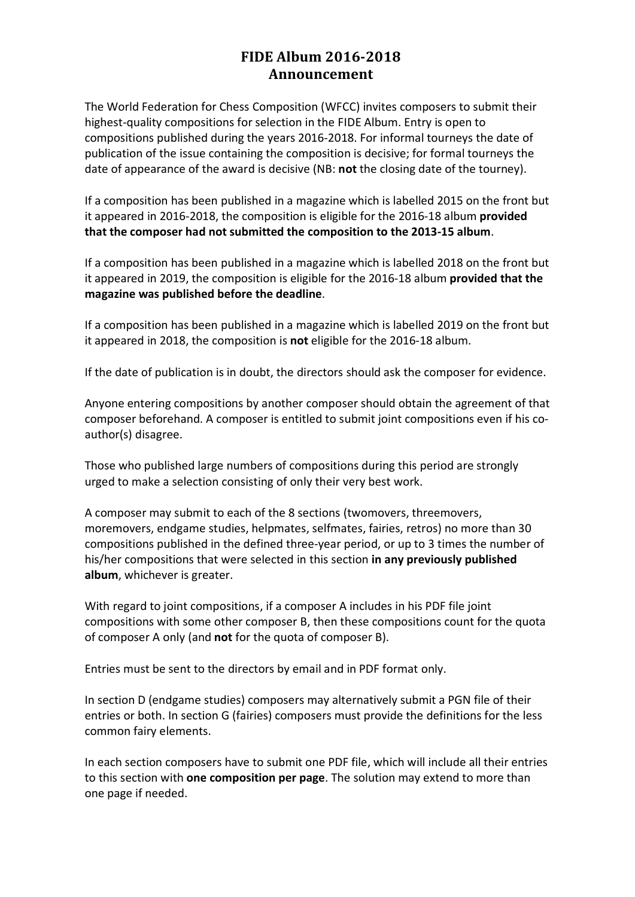# **FIDE Album 2016-2018 Announcement**

The World Federation for Chess Composition (WFCC) invites composers to submit their highest-quality compositions for selection in the FIDE Album. Entry is open to compositions published during the years 2016-2018. For informal tourneys the date of publication of the issue containing the composition is decisive; for formal tourneys the date of appearance of the award is decisive (NB: **not** the closing date of the tourney).

If a composition has been published in a magazine which is labelled 2015 on the front but it appeared in 2016-2018, the composition is eligible for the 2016-18 album **provided that the composer had not submitted the composition to the 2013-15 album**.

If a composition has been published in a magazine which is labelled 2018 on the front but it appeared in 2019, the composition is eligible for the 2016-18 album **provided that the magazine was published before the deadline**.

If a composition has been published in a magazine which is labelled 2019 on the front but it appeared in 2018, the composition is **not** eligible for the 2016-18 album.

If the date of publication is in doubt, the directors should ask the composer for evidence.

Anyone entering compositions by another composer should obtain the agreement of that composer beforehand. A composer is entitled to submit joint compositions even if his coauthor(s) disagree.

Those who published large numbers of compositions during this period are strongly urged to make a selection consisting of only their very best work.

A composer may submit to each of the 8 sections (twomovers, threemovers, moremovers, endgame studies, helpmates, selfmates, fairies, retros) no more than 30 compositions published in the defined three-year period, or up to 3 times the number of his/her compositions that were selected in this section **in any previously published album**, whichever is greater.

With regard to joint compositions, if a composer A includes in his PDF file joint compositions with some other composer B, then these compositions count for the quota of composer A only (and **not** for the quota of composer B).

Entries must be sent to the directors by email and in PDF format only.

In section D (endgame studies) composers may alternatively submit a PGN file of their entries or both. In section G (fairies) composers must provide the definitions for the less common fairy elements.

In each section composers have to submit one PDF file, which will include all their entries to this section with **one composition per page**. The solution may extend to more than one page if needed.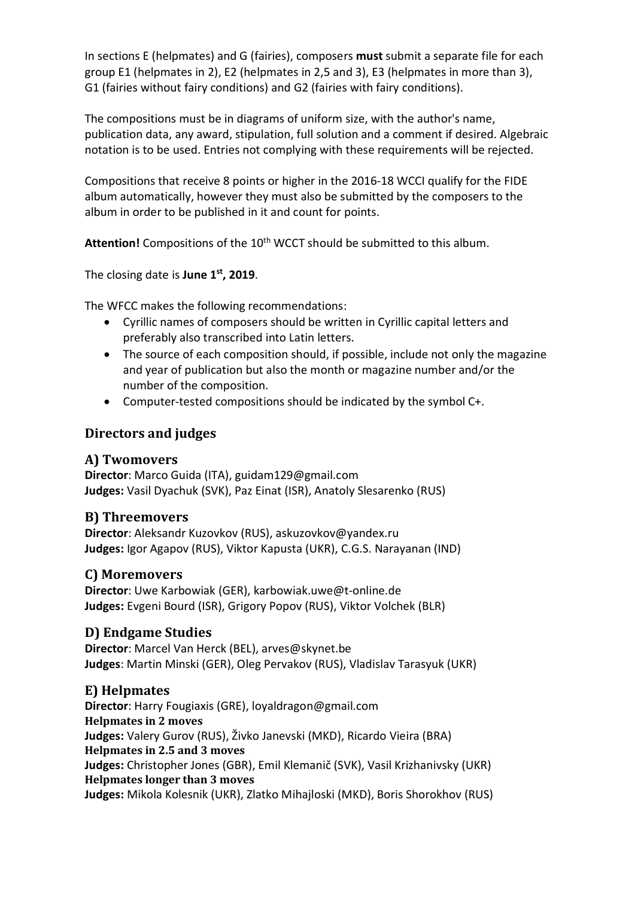In sections E (helpmates) and G (fairies), composers **must** submit a separate file for each group E1 (helpmates in 2), E2 (helpmates in 2,5 and 3), E3 (helpmates in more than 3), G1 (fairies without fairy conditions) and G2 (fairies with fairy conditions).

The compositions must be in diagrams of uniform size, with the author's name, publication data, any award, stipulation, full solution and a comment if desired. Algebraic notation is to be used. Entries not complying with these requirements will be rejected.

Compositions that receive 8 points or higher in the 2016-18 WCCI qualify for the FIDE album automatically, however they must also be submitted by the composers to the album in order to be published in it and count for points.

Attention! Compositions of the 10<sup>th</sup> WCCT should be submitted to this album.

The closing date is **June 1st, 2019**.

The WFCC makes the following recommendations:

- Cyrillic names of composers should be written in Cyrillic capital letters and preferably also transcribed into Latin letters.
- The source of each composition should, if possible, include not only the magazine and year of publication but also the month or magazine number and/or the number of the composition.
- Computer-tested compositions should be indicated by the symbol C+.

### **Directors and judges**

#### **A) Twomovers**

**Director**: Marco Guida (ITA), guidam129@gmail.com **Judges:** Vasil Dyachuk (SVK), Paz Einat (ISR), Anatoly Slesarenko (RUS)

#### **B) Threemovers**

**Director**: Aleksandr Kuzovkov (RUS), askuzovkov@yandex.ru **Judges:** Igor Agapov (RUS), Viktor Kapusta (UKR), C.G.S. Narayanan (IND)

#### **C) Moremovers**

**Director**: Uwe Karbowiak (GER), karbowiak.uwe@t-online.de **Judges:** Evgeni Bourd (ISR), Grigory Popov (RUS), Viktor Volchek (BLR)

#### **D) Endgame Studies**

**Director**: Marcel Van Herck (BEL), arves@skynet.be **Judges**: Martin Minski (GER), Oleg Pervakov (RUS), Vladislav Tarasyuk (UKR)

#### **E) Helpmates**

**Director**: Harry Fougiaxis (GRE), loyaldragon@gmail.com **Helpmates in 2 moves Judges:** Valery Gurov (RUS), Živko Janevski (MKD), Ricardo Vieira (BRA) **Helpmates in 2.5 and 3 moves Judges:** Christopher Jones (GBR), Emil Klemanič (SVK), Vasil Krizhanivsky (UKR) **Helpmates longer than 3 moves Judges:** Mikola Kolesnik (UKR), Zlatko Mihajloski (MKD), Boris Shorokhov (RUS)